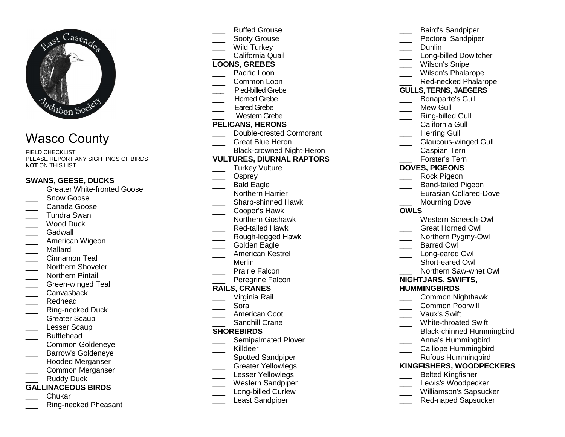

# Wasco County

FIELD CHECKLIST PLEASE REPORT ANY SIGHTINGS OF BIRDS **NOT** ON THIS LIST

#### **SWANS, GEESE, DUCKS**

- \_\_\_ Greater White-fronted Goose
- \_\_\_ Snow Goose
- \_\_\_ Canada Goose
- \_\_\_ Tundra Swan \_\_\_ Wood Duck
- \_\_\_ Gadwall
- 
- \_\_\_ American Wigeon
- \_\_\_ Mallard
- \_\_\_ Cinnamon Teal
- \_\_\_\_ Northern Shoveler
- \_\_\_ Northern Pintail
- \_\_\_ Green-winged Teal
- \_\_\_ Canvasback
- \_\_\_ Redhead
- \_\_\_ Ring-necked Duck
- Greater Scaup
- Lesser Scaup
- \_\_\_ Bufflehead
- \_\_\_ Common Goldeneye
- \_\_\_ Barrow's Goldeneye
- \_\_\_ Hooded Merganser
- \_\_\_ Common Merganser Ruddy Duck

# **GALLINACEOUS BIRDS**

- \_\_\_ Chukar
- \_\_\_ Ring-necked Pheasant
- Ruffed Grouse
- Sooty Grouse
- Wild Turkey
- \_\_\_ California Quail

#### **LOONS, GREBES**

- \_\_\_ Pacific Loon
- \_\_\_ Common Loon
- **\_\_\_** Pied-billed Grebe
- \_\_\_ Horned Grebe
- Eared Grebe
- \_\_\_ Western Grebe

#### **PELICANS, HERONS**

- \_\_\_ Double-crested Cormorant
- \_\_\_ Great Blue Heron
- \_\_\_ Black-crowned Night-Heron

#### **VULTURES, DIURNAL RAPTORS**

- \_\_\_ Turkey Vulture
- Osprey
- \_\_\_ Bald Eagle
- \_\_\_ Northern Harrier
- \_\_\_\_ Sharp-shinned Hawk
- \_\_\_ Cooper's Hawk
- \_\_\_ Northern Goshawk
- \_\_\_ Red-tailed Hawk
- \_\_\_ Rough-legged Hawk
- Golden Eagle
- \_\_\_ American Kestrel
- \_\_\_ Merlin
- \_\_\_ Prairie Falcon
- \_\_\_ Peregrine Falcon

#### **RAILS, CRANES**

- \_\_\_ Virginia Rail
- \_\_\_ Sora
- \_\_\_ American Coot
- \_\_\_ Sandhill Crane

#### **SHOREBIRDS**

- \_\_\_\_ Semipalmated Plover
- Killdeer
- \_\_\_\_ Spotted Sandpiper
- \_\_\_ Greater Yellowlegs
- Lesser Yellowlegs
- \_\_\_ Western Sandpiper
- \_\_\_\_ Long-billed Curlew
- Least Sandpiper

Dunlin \_\_\_\_ Long-billed Dowitcher Wilson's Snipe

\_\_\_ Baird's Sandpiper \_\_\_ Pectoral Sandpiper

- \_\_\_ Wilson's Phalarope
- \_\_\_ Red-necked Phalarope

#### **GULLS, TERNS, JAEGERS**

- \_\_\_ Bonaparte's Gull
- Mew Gull
- \_\_\_ Ring-billed Gull
- California Gull
- Herring Gull
- \_\_\_ Glaucous-winged Gull
- Caspian Tern
- 
- \_\_\_ Forster's Tern

#### **DOVES, PIGEONS**

- \_\_\_ Rock Pigeon
- \_\_\_ Band-tailed Pigeon
- \_\_\_ Eurasian Collared-Dove
- Mourning Dove

#### **OWLS**

- \_\_\_ Western Screech-Owl
- \_\_\_ Great Horned Owl
- \_\_\_ Northern Pygmy-Owl
- \_\_\_ Barred Owl
- \_\_\_ Long-eared Owl
- \_\_\_ Short-eared Owl
- \_\_\_ Northern Saw-whet Owl

#### **NIGHTJARS, SWIFTS, HUMMINGBIRDS**

 \_\_\_ Common Nighthawk \_\_\_ Common Poorwill \_\_\_ Vaux's Swift \_\_\_\_ White-throated Swift

\_\_\_ Black-chinned Hummingbird \_\_\_ Anna's Hummingbird \_\_\_ Calliope Hummingbird \_\_\_ Rufous Hummingbird **KINGFISHERS, WOODPECKERS**\_\_\_ Belted Kingfisher \_\_\_ Lewis's Woodpecker \_\_\_ Williamson's Sapsucker \_\_\_ Red-naped Sapsucker